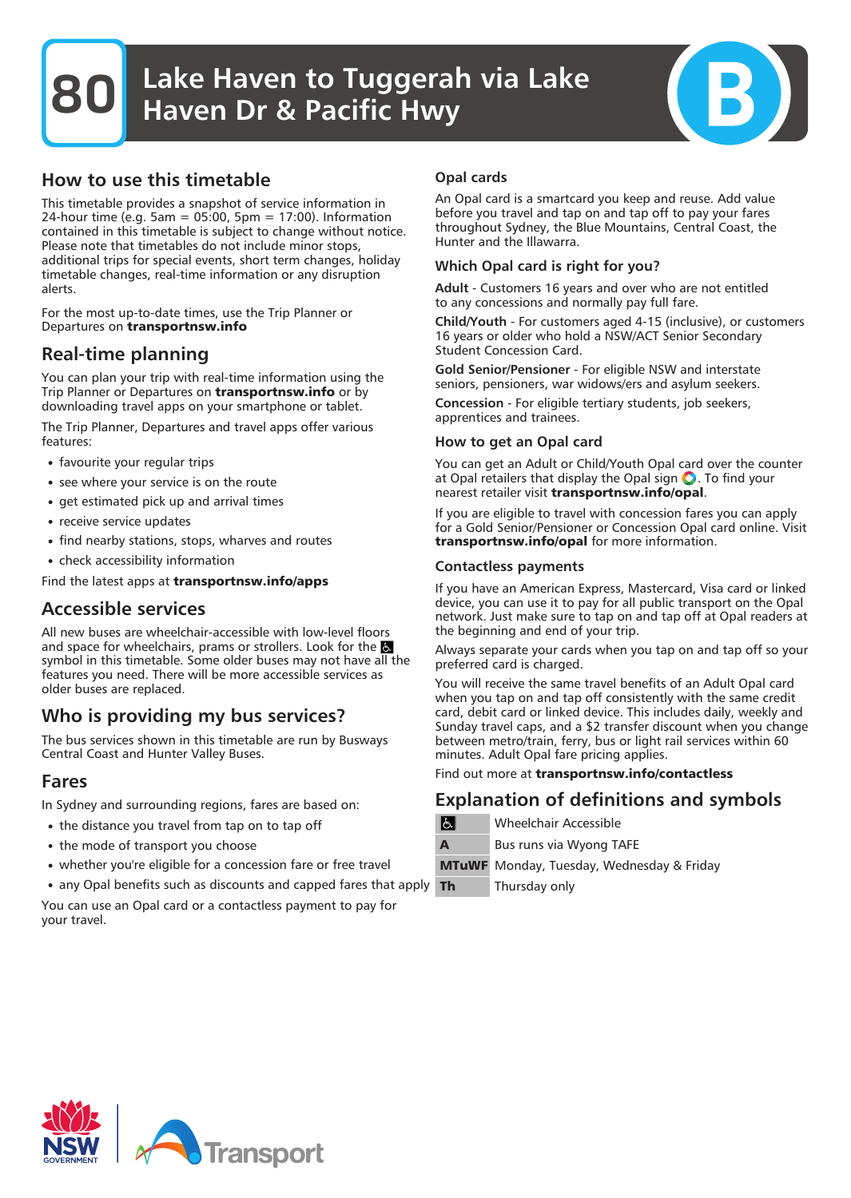**80** Lake Haven to Tuggerah via Lake Haven Dr & Pacific Hwy

## How to use this timetable

This timetable provides a snapshot of service information in 24-hour time (e.g. 5am = 05:00, 5pm = 17:00). Information contained in this timetable is subject to change without notice. Please note that timetables do not include minor stops, additional trips for special events, short term changes, holiday timetable changes, real-time information or any disruption alerts.

For the most up-to-date times, use the Trip Planner or Departures on **transportnsw.info**

## Real-time planning

You can plan your trip with real-time information using the Trip Planner or Departures on **transportnsw.info** or by downloading travel apps on your smartphone or tablet.

The Trip Planner, Departures and travel apps offer various features:

- favourite your regular trips
- see where your service is on the route
- get estimated pick up and arrival times
- receive service updates
- find nearby stations, stops, wharves and routes
- check accessibility information

Find the latest apps at **transportnsw.info/apps**

## Accessible services

All new buses are wheelchair-accessible with low-level floors and space for wheelchairs, prams or strollers. Look for the symbol in this timetable. Some older buses may not have all the features you need. There will be more accessible services as older buses are replaced.

## Who is providing my bus services?

The bus services shown in this timetable are run by Busways Central Coast and Hunter Valley Buses.

### Fares

In Sydney and surrounding regions, fares are based on:

- the distance you travel from tap on to tap off
- the mode of transport you choose
- whether you're eligible for a concession fare or free travel
- any Opal benefits such as discounts and capped fares that apply

You can use an Opal card or a contactless payment to pay for your travel.

#### Opal cards

An Opal card is a smartcard you keep and reuse. Add value before you travel and tap on and tap off to pay your fares throughout Sydney, the Blue Mountains, Central Coast, the Hunter and the Illawarra.

#### Which Opal card is right for you?

Adult - Customers 16 years and over who are not entitled to any concessions and normally pay full fare.

Child/Youth - For customers aged 4-15 (inclusive), or customers 16 years or older who hold a NSW/ACT Senior Secondary Student Concession Card.

Gold Senior/Pensioner - For eligible NSW and interstate seniors, pensioners, war widows/ers and asylum seekers.

Concession - For eligible tertiary students, job seekers, apprentices and trainees.

#### How to get an Opal card

You can get an Adult or Child/Youth Opal card over the counter at Opal retailers that display the Opal sign  $\bigcirc$ . To find your nearest retailer visit **transportnsw.info/opal**.

If you are eligible to travel with concession fares you can apply for a Gold Senior/Pensioner or Concession Opal card online. Visit **transportnsw.info/opal** for more information.

#### Contactless payments

If you have an American Express, Mastercard, Visa card or linked device, you can use it to pay for all public transport on the Opal network. Just make sure to tap on and tap off at Opal readers at the beginning and end of your trip.

Always separate your cards when you tap on and tap off so your preferred card is charged.

You will receive the same travel benefits of an Adult Opal card when you tap on and tap off consistently with the same credit card, debit card or linked device. This includes daily, weekly and Sunday travel caps, and a \$2 transfer discount when you change between metro/train, ferry, bus or light rail services within 60 minutes. Adult Opal fare pricing applies.

Find out more at **transportnsw.info/contactless**

## Explanation of definitions and symbols

| $ \mathbf{f} $ | <b>Wheelchair Accessible</b>                     |  |  |  |  |  |  |  |
|----------------|--------------------------------------------------|--|--|--|--|--|--|--|
| A              | Bus runs via Wyong TAFE                          |  |  |  |  |  |  |  |
|                | <b>MTuWF</b> Monday, Tuesday, Wednesday & Friday |  |  |  |  |  |  |  |
| Th             | Thursday only                                    |  |  |  |  |  |  |  |

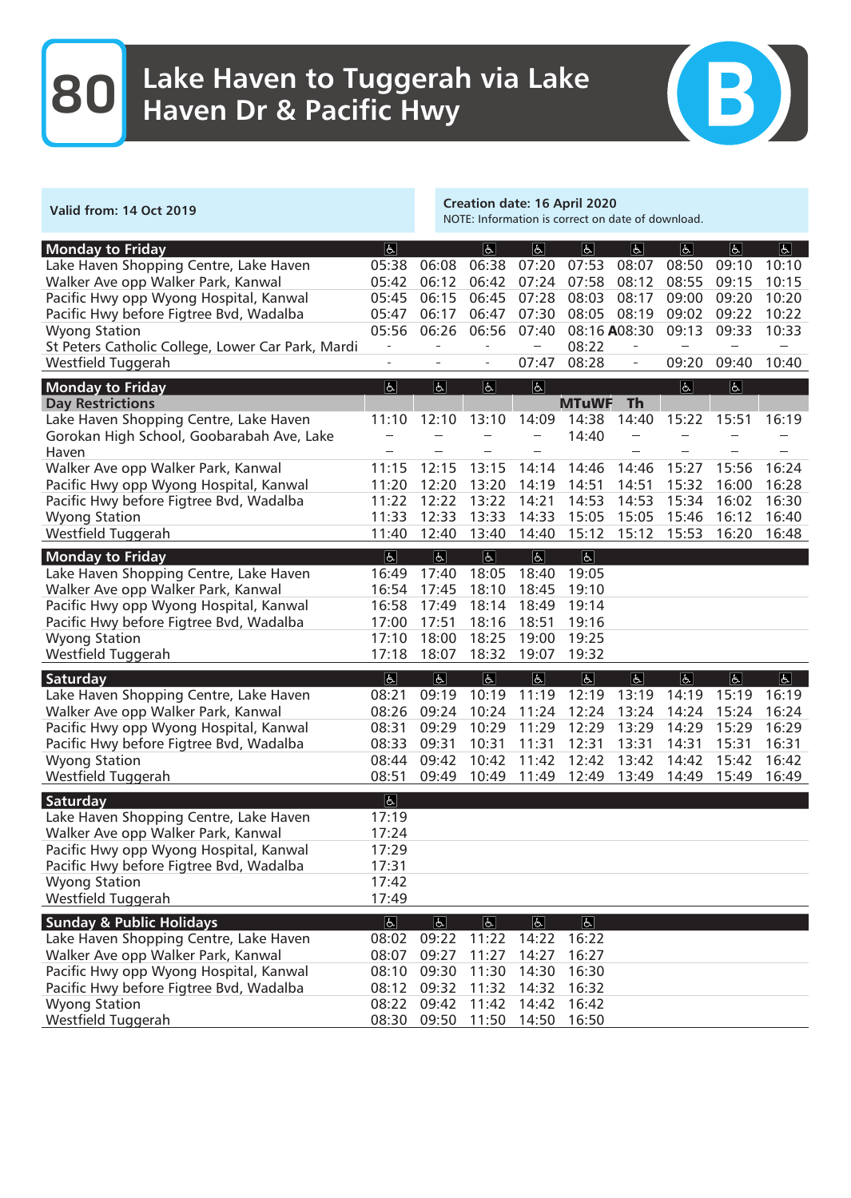## **80** Lake Haven to Tuggerah via Lake Haven Dr & Pacific Hwy



| <b>Valid from: 14 Oct 2019</b>                    |                          |                | <b>Creation date: 16 April 2020</b><br>NOTE: Information is correct on date of download. |                          |                            |                          |                         |                |             |  |
|---------------------------------------------------|--------------------------|----------------|------------------------------------------------------------------------------------------|--------------------------|----------------------------|--------------------------|-------------------------|----------------|-------------|--|
| <b>Monday to Friday</b><br> E                     |                          |                | $\sqrt{2}$                                                                               | a                        | E                          | E                        | $\boxed{6}$             | E              | $\boxed{6}$ |  |
| Lake Haven Shopping Centre, Lake Haven            | 05:38                    | 06:08          | 06:38                                                                                    | 07:20                    | 07:53                      | 08:07                    | 08:50                   | 09:10          | 10:10       |  |
| Walker Ave opp Walker Park, Kanwal                | 05:42                    | 06:12          | 06:42                                                                                    | 07:24                    | 07:58                      | 08:12                    | 08:55                   | 09:15          | 10:15       |  |
| Pacific Hwy opp Wyong Hospital, Kanwal            | 05:45                    | 06:15          | 06:45                                                                                    | 07:28                    | 08:03                      | 08:17                    | 09:00                   | 09:20          | 10:20       |  |
| Pacific Hwy before Figtree Bvd, Wadalba           | 05:47                    | 06:17          | 06:47                                                                                    | 07:30                    | 08:05                      | 08:19                    | 09:02                   | 09:22          | 10:22       |  |
| <b>Wyong Station</b>                              | 05:56                    | 06:26          | 06:56                                                                                    | 07:40                    |                            | 08:16 A08:30             | 09:13                   | 09:33          | 10:33       |  |
| St Peters Catholic College, Lower Car Park, Mardi |                          | $\overline{a}$ | $\overline{\phantom{a}}$                                                                 | $\overline{\phantom{m}}$ | 08:22                      | $\overline{\phantom{0}}$ |                         |                |             |  |
| Westfield Tuggerah                                | L,                       |                | $\qquad \qquad -$                                                                        | 07:47                    | 08:28                      | $\overline{\phantom{0}}$ | 09:20                   | 09:40          | 10:40       |  |
| <b>Monday to Friday</b>                           | 区                        | $\Delta$       | $\boxed{d}$                                                                              | $\overline{f}$           |                            |                          | $\overline{\mathbb{P}}$ | $\overline{6}$ |             |  |
| <b>Day Restrictions</b>                           |                          |                |                                                                                          |                          | <b>MTuWF</b>               | <b>Th</b>                |                         |                |             |  |
| Lake Haven Shopping Centre, Lake Haven            | 11:10                    | 12:10          | 13:10                                                                                    | 14:09                    | 14:38                      | 14:40                    | 15:22                   | 15:51          | 16:19       |  |
| Gorokan High School, Goobarabah Ave, Lake         |                          |                |                                                                                          |                          | 14:40                      |                          |                         |                |             |  |
| Haven                                             |                          |                |                                                                                          |                          |                            |                          |                         |                |             |  |
| Walker Ave opp Walker Park, Kanwal                | 11:15                    | 12:15          | 13:15                                                                                    | 14:14                    | 14:46                      | 14:46                    | 15:27                   | 15:56          | 16:24       |  |
| Pacific Hwy opp Wyong Hospital, Kanwal            | 11:20                    | 12:20          | 13:20                                                                                    | 14:19                    | 14:51                      | 14:51                    | 15:32                   | 16:00          | 16:28       |  |
| Pacific Hwy before Figtree Bvd, Wadalba           | 11:22                    | 12:22          | 13:22                                                                                    | 14:21                    | 14:53                      | 14:53                    | 15:34                   | 16:02          | 16:30       |  |
| <b>Wyong Station</b>                              | 11:33                    | 12:33          | 13:33                                                                                    | 14:33                    | 15:05                      | 15:05                    | 15:46                   | 16:12          | 16:40       |  |
| Westfield Tuggerah                                | 11:40                    | 12:40          | 13:40                                                                                    | 14:40                    | 15:12                      | 15:12                    | 15:53                   | 16:20          | 16:48       |  |
| <b>Monday to Friday</b>                           | $\overline{6}$           | $\overline{d}$ | $\overline{6}$                                                                           | $\overline{b}$           | $\vert \overline{L} \vert$ |                          |                         |                |             |  |
| Lake Haven Shopping Centre, Lake Haven            | 16:49                    | 17:40          | 18:05                                                                                    | 18:40                    | 19:05                      |                          |                         |                |             |  |
| Walker Ave opp Walker Park, Kanwal                | 16:54                    | 17:45          | 18:10                                                                                    | 18:45                    | 19:10                      |                          |                         |                |             |  |
| Pacific Hwy opp Wyong Hospital, Kanwal            | 16:58                    | 17:49          | 18:14                                                                                    | 18:49                    | 19:14                      |                          |                         |                |             |  |
| Pacific Hwy before Figtree Bvd, Wadalba           | 17:00                    | 17:51          | 18:16                                                                                    | 18:51                    | 19:16                      |                          |                         |                |             |  |
| <b>Wyong Station</b>                              | 17:10                    | 18:00          | 18:25                                                                                    | 19:00                    | 19:25                      |                          |                         |                |             |  |
| Westfield Tuggerah                                | 17:18                    | 18:07          | 18:32                                                                                    | 19:07                    | 19:32                      |                          |                         |                |             |  |
| E <br>Saturday                                    |                          | E              | E                                                                                        | E                        | E                          | a                        | $ \mathbf{P} $          | E              | E           |  |
| Lake Haven Shopping Centre, Lake Haven            | 08:21                    | 09:19          | 10:19                                                                                    | 11:19                    | 12:19                      | 13:19                    | 14:19                   | 15:19          | 16:19       |  |
| Walker Ave opp Walker Park, Kanwal                | 08:26                    | 09:24          | 10:24                                                                                    | 11:24                    | 12:24                      | 13:24                    | 14:24                   | 15:24          | 16:24       |  |
| Pacific Hwy opp Wyong Hospital, Kanwal            | 08:31                    | 09:29          | 10:29                                                                                    | 11:29                    | 12:29                      | 13:29                    | 14:29                   | 15:29          | 16:29       |  |
| Pacific Hwy before Figtree Bvd, Wadalba           | 08:33                    | 09:31          | 10:31                                                                                    | 11:31                    | 12:31                      | 13:31                    | 14:31                   | 15:31          | 16:31       |  |
| <b>Wyong Station</b>                              | 08:44                    | 09:42          | 10:42                                                                                    | 11:42                    | 12:42                      | 13:42                    | 14:42                   | 15:42          | 16:42       |  |
| Westfield Tuggerah                                | 08:51                    | 09:49          | 10:49                                                                                    | 11:49                    | 12:49                      | 13:49                    | 14:49                   | 15:49          | 16:49       |  |
| Saturday                                          | $\vert \mathbf{L} \vert$ |                |                                                                                          |                          |                            |                          |                         |                |             |  |
| Lake Haven Shopping Centre, Lake Haven            | 17:19                    |                |                                                                                          |                          |                            |                          |                         |                |             |  |
| Walker Ave opp Walker Park, Kanwal                | 17:24                    |                |                                                                                          |                          |                            |                          |                         |                |             |  |
| Pacific Hwy opp Wyong Hospital, Kanwal            | 17:29                    |                |                                                                                          |                          |                            |                          |                         |                |             |  |
| Pacific Hwy before Figtree Bvd, Wadalba           | 17:31                    |                |                                                                                          |                          |                            |                          |                         |                |             |  |
| <b>Wyong Station</b>                              | 17:42                    |                |                                                                                          |                          |                            |                          |                         |                |             |  |
| Westfield Tuggerah                                | 17:49                    |                |                                                                                          |                          |                            |                          |                         |                |             |  |
| <b>Sunday &amp; Public Holidays</b>               | E                        | e              | E                                                                                        | a                        | $ \mathbf{F} $             |                          |                         |                |             |  |
| Lake Haven Shopping Centre, Lake Haven            | 08:02                    | 09:22          | 11:22                                                                                    | 14:22                    | 16:22                      |                          |                         |                |             |  |
| Walker Ave opp Walker Park, Kanwal                | 08:07                    | 09:27          | 11:27                                                                                    | 14:27                    | 16:27                      |                          |                         |                |             |  |
| Pacific Hwy opp Wyong Hospital, Kanwal            | 08:10                    | 09:30          | 11:30                                                                                    | 14:30                    | 16:30                      |                          |                         |                |             |  |
| Pacific Hwy before Figtree Bvd, Wadalba           | 08:12                    | 09:32          | 11:32                                                                                    | 14:32                    | 16:32                      |                          |                         |                |             |  |
| <b>Wyong Station</b>                              | 08:22                    | 09:42          | 11:42                                                                                    | 14:42                    | 16:42                      |                          |                         |                |             |  |
| Westfield Tuggerah                                |                          |                | 08:30 09:50 11:50                                                                        | 14:50                    | 16:50                      |                          |                         |                |             |  |